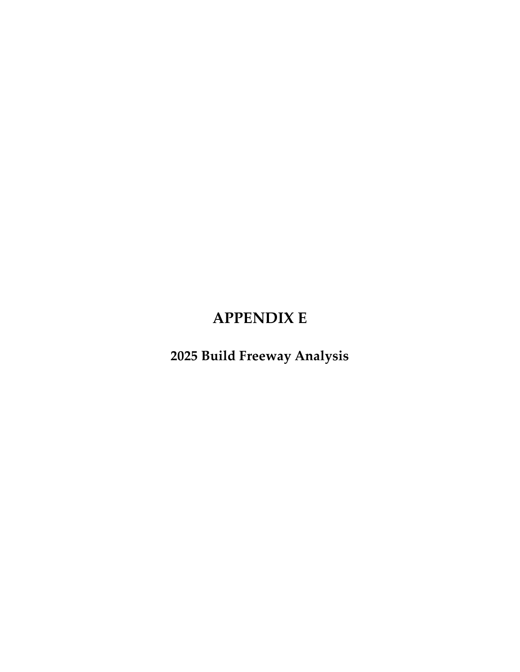# **APPENDIX E**

**2025 Build Freeway Analysis**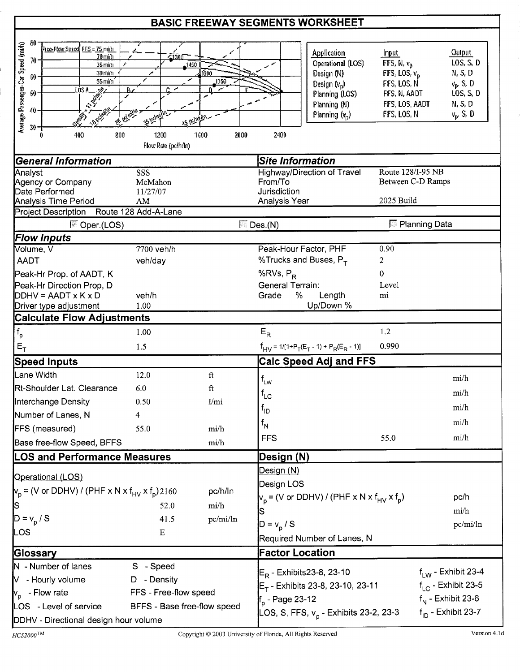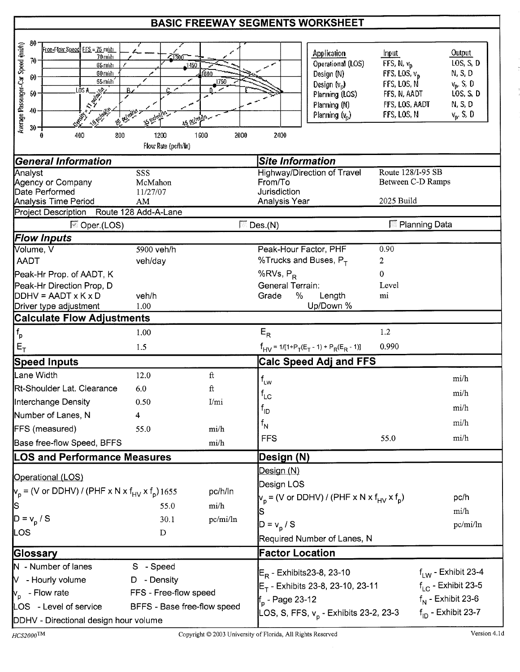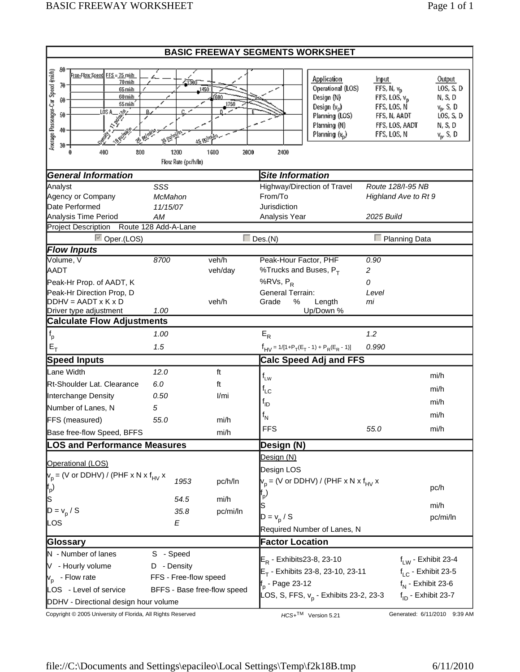| <b>BASIC FREEWAY SEGMENTS WORKSHEET</b>                                        |                             |              |                              |                                                    |                                |                         |
|--------------------------------------------------------------------------------|-----------------------------|--------------|------------------------------|----------------------------------------------------|--------------------------------|-------------------------|
| 80                                                                             |                             |              |                              |                                                    |                                |                         |
| Average Passenger-Car Speed (mi/h)<br>Free-Flow Speed FFS = 75 mith<br>70 mida | 47300                       |              |                              | Application                                        | Input                          | <b>Output</b>           |
| 70<br>65 mith                                                                  | 1450                        |              |                              | Operational (LOS)                                  | FFS, N, v <sub>D</sub>         | LOS, S, D               |
| 60 mith<br>60<br>55 mith                                                       |                             | ſ600<br>1750 |                              | Design (N)                                         | FFS, LOS, $v_{\rm p}$          | N, S, D                 |
| 50                                                                             |                             |              |                              | Design (v <sub>p</sub> )                           | FFS, LOS, N                    | $v_p$ , S, D            |
| uisa<br>  s <sup>igh</sup>                                                     |                             |              |                              | Planning (LOS)<br>Planning (N)                     | FFS, N, AADT<br>FFS, LOS, AADT | LOS, S, D<br>N, S, D    |
| 40<br><b>SEE</b>                                                               |                             |              |                              | Planning (v <sub>p</sub> )                         | FFS, LOS, N                    | $v_p$ , S, D            |
| $30 -$                                                                         |                             | as reinan-   |                              |                                                    |                                |                         |
| 400<br>800                                                                     | 1200<br>Flow Rate (pc/h/ln) | 1600<br>2000 | 2400                         |                                                    |                                |                         |
| <b>General Information</b>                                                     |                             |              | <b>Site Information</b>      |                                                    |                                |                         |
| Analyst                                                                        | SSS                         |              |                              | Highway/Direction of Travel                        | Route 128/I-95 NB              |                         |
| Agency or Company                                                              | McMahon                     |              | From/To                      |                                                    | Highland Ave to Rt 9           |                         |
| Date Performed                                                                 | 11/15/07                    |              | Jurisdiction                 |                                                    |                                |                         |
| Analysis Time Period<br><b>Project Description</b>                             | AM<br>Route 128 Add-A-Lane  |              | Analysis Year                |                                                    | 2025 Build                     |                         |
|                                                                                |                             |              |                              |                                                    |                                |                         |
| <b>▽</b> Oper.(LOS)<br><b>Flow Inputs</b>                                      |                             |              | $\Box$ Des.(N)               |                                                    |                                | $\Box$ Planning Data    |
| Volume, V                                                                      | 8700                        | veh/h        | Peak-Hour Factor, PHF        |                                                    | 0.90                           |                         |
| <b>AADT</b>                                                                    |                             | veh/day      | %Trucks and Buses, $P_T$     |                                                    | 2                              |                         |
| Peak-Hr Prop. of AADT, K                                                       |                             |              | %RVs, P <sub>R</sub>         |                                                    | 0                              |                         |
| Peak-Hr Direction Prop, D                                                      |                             |              | <b>General Terrain:</b>      |                                                    | Level                          |                         |
| $DDHV = AADT \times K \times D$                                                |                             | veh/h        | Grade<br>%                   | Length                                             | mi                             |                         |
| Driver type adjustment                                                         | 1.00                        |              |                              | Up/Down %                                          |                                |                         |
| <b>Calculate Flow Adjustments</b>                                              |                             |              |                              |                                                    |                                |                         |
| $\mathsf{f}_\mathsf{p}$                                                        | 1.00                        |              | $E_R$                        |                                                    | 1.2                            |                         |
| $E_T$                                                                          | 1.5                         |              |                              | $f_{HV} = 1/[1+P_T(E_T - 1) + P_R(E_R - 1)]$       | 0.990                          |                         |
| <b>Speed Inputs</b>                                                            |                             |              |                              | <b>Calc Speed Adj and FFS</b>                      |                                |                         |
| Lane Width                                                                     | 12.0                        | ft           | $f_{LW}$                     |                                                    |                                | mi/h                    |
| Rt-Shoulder Lat. Clearance                                                     | 6.0                         | ft           | $f_{LC}$                     |                                                    |                                | mi/h                    |
| Interchange Density                                                            | 0.50                        | 1/mi         |                              |                                                    |                                |                         |
| Number of Lanes, N                                                             | 5                           |              | <sup>t</sup> ıd              |                                                    |                                | mi/h                    |
| FFS (measured)                                                                 | 55.0                        | mi/h         | $f_{\mathsf{N}}$             |                                                    |                                | mi/h                    |
| Base free-flow Speed, BFFS                                                     |                             | mi/h         | <b>FFS</b>                   |                                                    | 55.0                           | mi/h                    |
| <b>LOS and Performance Measures</b>                                            |                             |              | Design (N)                   |                                                    |                                |                         |
|                                                                                |                             |              | Design (N)                   |                                                    |                                |                         |
| Operational (LOS)                                                              |                             |              | Design LOS                   |                                                    |                                |                         |
| $V_p$ = (V or DDHV) / (PHF x N x f <sub>HV</sub> x                             | 1953                        | pc/h/ln      |                              | $V_p$ = (V or DDHV) / (PHF x N x f <sub>HV</sub> x |                                |                         |
| ${\sf f}_{\sf p}$ )                                                            |                             |              | þ٠                           |                                                    |                                | pc/h                    |
| ls                                                                             | 54.5                        | mi/h         | S                            |                                                    |                                | mi/h                    |
| $D = v_p / S$                                                                  | 35.8                        | pc/mi/ln     | $D = v_p / S$                |                                                    |                                | pc/mi/ln                |
| LOS                                                                            | E                           |              |                              | Required Number of Lanes, N                        |                                |                         |
| Glossary                                                                       |                             |              | <b>Factor Location</b>       |                                                    |                                |                         |
| N - Number of lanes                                                            | S - Speed                   |              |                              |                                                    |                                |                         |
| V - Hourly volume                                                              | D - Density                 |              | $E_R$ - Exhibits 23-8, 23-10 |                                                    |                                | $f_{LW}$ - Exhibit 23-4 |
| v <sub>p</sub> - Flow rate                                                     | FFS - Free-flow speed       |              |                              | $E_T$ - Exhibits 23-8, 23-10, 23-11                |                                | $f_{LC}$ - Exhibit 23-5 |
| LOS - Level of service                                                         | BFFS - Base free-flow speed |              | f <sub>p</sub> - Page 23-12  |                                                    |                                | $f_N$ - Exhibit 23-6    |
| DDHV - Directional design hour volume                                          |                             |              |                              | LOS, S, FFS, v <sub>p</sub> - Exhibits 23-2, 23-3  |                                | $f_{ID}$ - Exhibit 23-7 |
|                                                                                |                             |              |                              |                                                    |                                |                         |

Copyright © 2005 University of Florida, All Rights Reserved **HCS+TM** Version 5.21 Generated: 6/11/2010 9:39 AM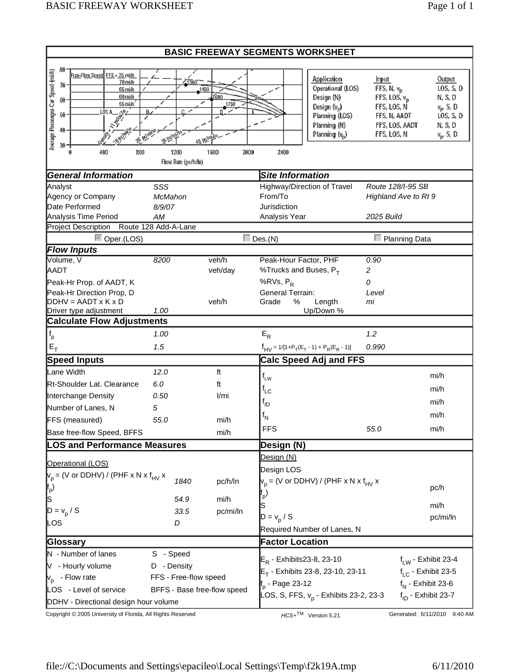| <b>BASIC FREEWAY SEGMENTS WORKSHEET</b>                                                |                             |              |                              |                                                    |                             |                         |  |  |
|----------------------------------------------------------------------------------------|-----------------------------|--------------|------------------------------|----------------------------------------------------|-----------------------------|-------------------------|--|--|
| 80                                                                                     |                             |              |                              |                                                    |                             |                         |  |  |
| Average Passenger-Car Speed (mi/h)<br><u>Free-Flow Speed, FFS = 75 mith</u><br>70 mida | ഹാാന                        |              |                              | Application                                        | <b>Input</b>                | Output                  |  |  |
| 70<br>65 midt                                                                          | 1450                        |              |                              | Operational (LOS)                                  | FFS, N, v <sub>D</sub>      | LOS, S, D               |  |  |
| 60 mith<br>60<br>55 midh                                                               |                             | f600<br>1750 |                              | Design (N)                                         | FFS, LOS, $v_{\rm p}$       | N, S, D                 |  |  |
| 50                                                                                     |                             |              |                              | Design $(v_p)$                                     | FFS, LOS, N<br>FFS, N, AADT | $v_p$ , S, D            |  |  |
| uisa<br>  s <sup>yst</sup><br>  sy                                                     |                             |              |                              | Planning (LOS)<br>Planning (N)                     | FFS, LOS, AADT              | LOS, S, D<br>N, S, D    |  |  |
| 40                                                                                     |                             |              |                              | Planning $(v_p)$                                   | FFS, LOS, N                 | $v_p$ , S, D            |  |  |
| 30 - 1                                                                                 |                             | 35 Reinstein |                              |                                                    |                             |                         |  |  |
| 400<br>800<br>0                                                                        | 1200<br>Flow Rate (pc/h/ln) | 1600<br>2000 | 2400                         |                                                    |                             |                         |  |  |
| <b>General Information</b>                                                             | <b>Site Information</b>     |              |                              |                                                    |                             |                         |  |  |
| Analyst                                                                                | SSS                         |              |                              | Highway/Direction of Travel                        | Route 128/I-95 SB           |                         |  |  |
| Agency or Company                                                                      | McMahon                     |              | From/To                      |                                                    |                             | Highland Ave to Rt 9    |  |  |
| Date Performed                                                                         | 8/9/07                      |              | Jurisdiction                 |                                                    | 2025 Build                  |                         |  |  |
| Analysis Time Period<br>Project Description                                            | AM<br>Route 128 Add-A-Lane  |              | Analysis Year                |                                                    |                             |                         |  |  |
| <b>▽</b> Oper.(LOS)                                                                    |                             |              | $\Box$ Des.(N)               |                                                    |                             | $\Box$ Planning Data    |  |  |
| <b>Flow Inputs</b>                                                                     |                             |              |                              |                                                    |                             |                         |  |  |
| Volume, V                                                                              | 8200                        | veh/h        | Peak-Hour Factor, PHF        |                                                    | 0.90                        |                         |  |  |
| <b>AADT</b>                                                                            |                             | veh/day      | %Trucks and Buses, $P_T$     |                                                    | $\overline{c}$              |                         |  |  |
| Peak-Hr Prop. of AADT, K                                                               |                             |              | % $RVs, P_R$                 |                                                    | 0                           |                         |  |  |
| Peak-Hr Direction Prop, D                                                              |                             |              | <b>General Terrain:</b>      |                                                    | Level                       |                         |  |  |
| $DDHV = AADTXKxD$                                                                      |                             | veh/h        | %<br>Grade                   | Length                                             | mi                          |                         |  |  |
| Driver type adjustment<br><b>Calculate Flow Adjustments</b>                            | 1.00                        |              |                              | Up/Down %                                          |                             |                         |  |  |
|                                                                                        | 1.00                        |              | $E_R$                        |                                                    | 1.2                         |                         |  |  |
| $\mathsf{f}_\mathsf{p}$                                                                |                             |              |                              |                                                    |                             |                         |  |  |
| $E_T$                                                                                  | 1.5                         |              |                              | $f_{HV} = 1/[1+P_T(E_T - 1) + P_R(E_R - 1)]$       | 0.990                       |                         |  |  |
| <b>Speed Inputs</b>                                                                    |                             |              |                              | <b>Calc Speed Adj and FFS</b>                      |                             |                         |  |  |
| Lane Width                                                                             | 12.0                        | ft           | $f_{LW}$                     |                                                    |                             | mi/h                    |  |  |
| Rt-Shoulder Lat. Clearance                                                             | 6.0                         | ft           | $f_{LC}$                     |                                                    |                             | mi/h                    |  |  |
| Interchange Density                                                                    | 0.50                        | I/mi         | $f_{ID}$                     |                                                    |                             | mi/h                    |  |  |
| Number of Lanes, N                                                                     | 5                           |              | $f_N$                        |                                                    |                             | mi/h                    |  |  |
| FFS (measured)                                                                         | 55.0                        | mi/h         |                              |                                                    |                             |                         |  |  |
| Base free-flow Speed, BFFS                                                             |                             | mi/h         | <b>FFS</b>                   |                                                    | 55.0                        | mi/h                    |  |  |
| <b>LOS and Performance Measures</b>                                                    |                             |              | Design (N)                   |                                                    |                             |                         |  |  |
| Operational (LOS)                                                                      |                             |              | Design (N)                   |                                                    |                             |                         |  |  |
| $V_p$ = (V or DDHV) / (PHF x N x f <sub>HV</sub> x                                     |                             |              | Design LOS                   |                                                    |                             |                         |  |  |
|                                                                                        | 1840                        | pc/h/ln      |                              | $V_p$ = (V or DDHV) / (PHF x N x f <sub>HV</sub> x |                             | pc/h                    |  |  |
| $\mathsf{f}_{\mathsf{p}}$<br>S                                                         | 54.9                        | mi/h         | p                            |                                                    |                             |                         |  |  |
| $D = v_p / S$                                                                          | 33.5                        | pc/mi/ln     | S                            |                                                    |                             | mi/h                    |  |  |
|                                                                                        | D                           |              | $D = v_p / S$                |                                                    |                             | pc/mi/ln                |  |  |
| LOS                                                                                    |                             |              |                              | Required Number of Lanes, N                        |                             |                         |  |  |
| Glossary                                                                               |                             |              | <b>Factor Location</b>       |                                                    |                             |                         |  |  |
| N - Number of lanes                                                                    | S - Speed                   |              |                              |                                                    |                             |                         |  |  |
| V - Hourly volume                                                                      | D - Density                 |              | $E_R$ - Exhibits 23-8, 23-10 |                                                    |                             | $f_{LW}$ - Exhibit 23-4 |  |  |
| v <sub>p</sub> - Flow rate                                                             | FFS - Free-flow speed       |              |                              | $E_T$ - Exhibits 23-8, 23-10, 23-11                |                             | $f_{LC}$ - Exhibit 23-5 |  |  |
| LOS - Level of service                                                                 | BFFS - Base free-flow speed |              | f <sub>p</sub> - Page 23-12  |                                                    |                             | $f_N$ - Exhibit 23-6    |  |  |
| DDHV - Directional design hour volume                                                  |                             |              |                              | LOS, S, FFS, v <sub>p</sub> - Exhibits 23-2, 23-3  |                             | $f_{ID}$ - Exhibit 23-7 |  |  |

Copyright © 2005 University of Florida, All Rights Reserved **HCS+TM** Version 5.21 Generated: 6/11/2010 9:40 AM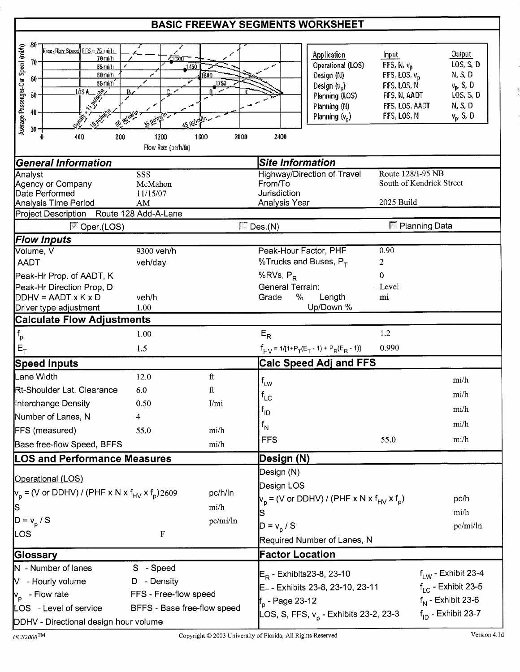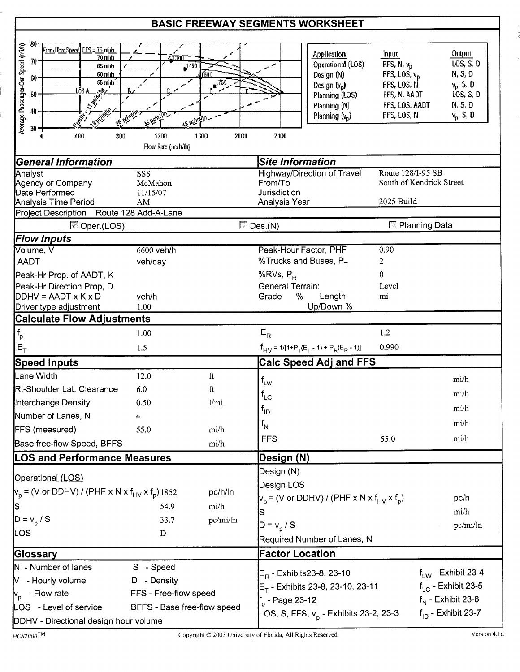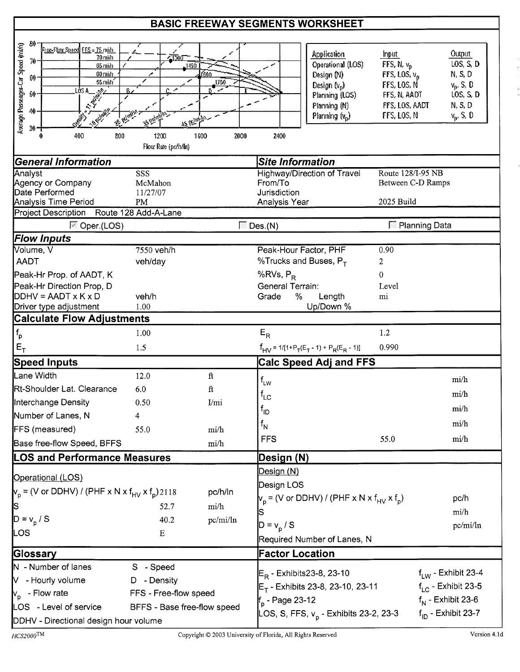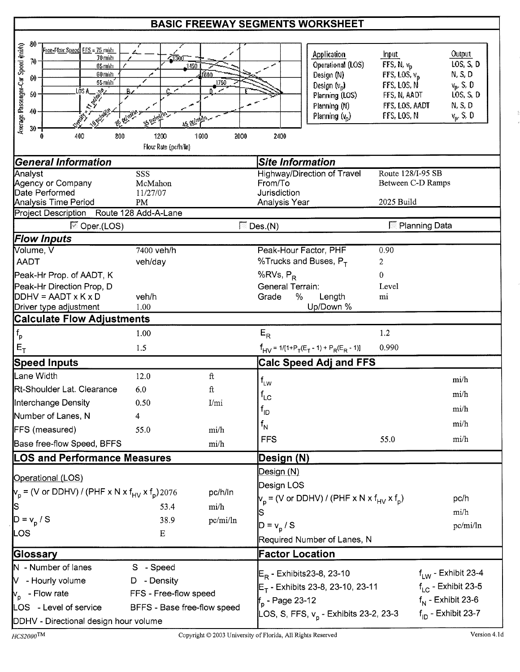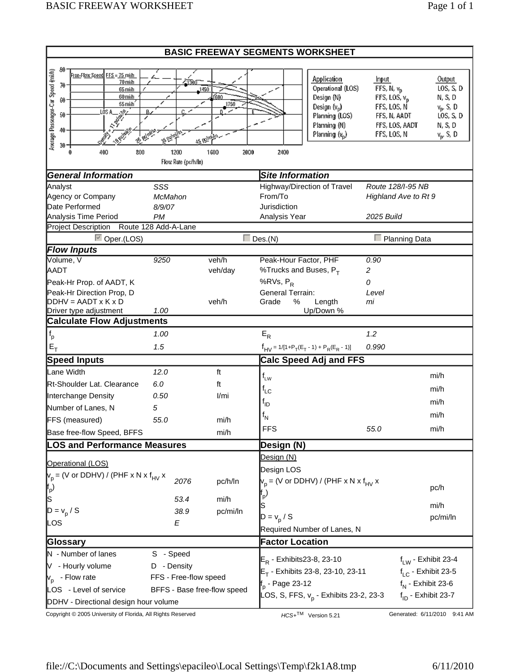| <b>BASIC FREEWAY SEGMENTS WORKSHEET</b>                                                |                             |              |                              |                                                    |                             |                           |  |  |
|----------------------------------------------------------------------------------------|-----------------------------|--------------|------------------------------|----------------------------------------------------|-----------------------------|---------------------------|--|--|
| 80                                                                                     |                             |              |                              |                                                    |                             |                           |  |  |
| Average Passenger-Car Speed (mi/h)<br><u>Free-Flow Speed, FFS = 75 mith</u><br>70 mida | ഹാാന                        |              |                              | Application                                        | <b>Input</b>                | Output                    |  |  |
| 70<br>65 midt                                                                          | 1450                        |              |                              | Operational (LOS)                                  | FFS, N, v <sub>D</sub>      | LOS, S, D                 |  |  |
| 60 mith<br>60<br>55 midh                                                               |                             | f600<br>1750 |                              | Design (N)                                         | FFS, LOS, $v_{\rm p}$       | N, S, D                   |  |  |
| 50                                                                                     |                             |              |                              | Design $(v_p)$<br>Planning (LOS)                   | FFS, LOS, N<br>FFS, N, AADT | $v_p$ , S, D<br>LOS, S, D |  |  |
| uisa<br>  s <sup>yst</sup><br>  sy                                                     |                             |              |                              | Planning (N)                                       | FFS, LOS, AADT              | N, S, D                   |  |  |
| 40                                                                                     |                             |              |                              | Planning $(v_p)$                                   | FFS, LOS, N                 | $v_p$ , S, D              |  |  |
| 30 - 1                                                                                 |                             | 35 Reinstein |                              |                                                    |                             |                           |  |  |
| 400<br>800<br>0                                                                        | 1200<br>Flow Rate (pc/h/ln) | 1600<br>2000 | 2400                         |                                                    |                             |                           |  |  |
| <b>General Information</b>                                                             |                             |              | <b>Site Information</b>      |                                                    |                             |                           |  |  |
| Analyst                                                                                | SSS                         |              |                              | Highway/Direction of Travel                        | Route 128/I-95 NB           |                           |  |  |
| Agency or Company                                                                      | McMahon                     |              | From/To                      |                                                    |                             | Highland Ave to Rt 9      |  |  |
| Date Performed                                                                         | 8/9/07                      |              | Jurisdiction                 |                                                    | 2025 Build                  |                           |  |  |
| Analysis Time Period<br>Project Description                                            | PM<br>Route 128 Add-A-Lane  |              | Analysis Year                |                                                    |                             |                           |  |  |
| <b>▽</b> Oper.(LOS)                                                                    |                             |              | $\Box$ Des.(N)               |                                                    |                             | $\Box$ Planning Data      |  |  |
| <b>Flow Inputs</b>                                                                     |                             |              |                              |                                                    |                             |                           |  |  |
| Volume, V                                                                              | 9250                        | veh/h        | Peak-Hour Factor, PHF        |                                                    | 0.90                        |                           |  |  |
| <b>AADT</b>                                                                            |                             | veh/day      | %Trucks and Buses, $P_T$     |                                                    | $\overline{c}$              |                           |  |  |
| Peak-Hr Prop. of AADT, K                                                               |                             |              | % $RVs, P_R$                 |                                                    | 0                           |                           |  |  |
| Peak-Hr Direction Prop, D                                                              |                             |              | <b>General Terrain:</b>      |                                                    | Level                       |                           |  |  |
| $DDHV = AADTXKxD$                                                                      |                             | veh/h        | %<br>Grade                   | Length                                             | mi                          |                           |  |  |
| Driver type adjustment<br><b>Calculate Flow Adjustments</b>                            | 1.00                        |              |                              | Up/Down %                                          |                             |                           |  |  |
|                                                                                        |                             |              |                              |                                                    |                             |                           |  |  |
| $\mathsf{f}_\mathsf{p}$                                                                | 1.00                        |              | $E_R$                        |                                                    | 1.2                         |                           |  |  |
| $E_T$                                                                                  | 1.5                         |              |                              | $f_{HV} = 1/[1+P_T(E_T - 1) + P_R(E_R - 1)]$       | 0.990                       |                           |  |  |
| <b>Speed Inputs</b>                                                                    |                             |              |                              | <b>Calc Speed Adj and FFS</b>                      |                             |                           |  |  |
| Lane Width                                                                             | 12.0                        | ft           | $f_{LW}$                     |                                                    |                             | mi/h                      |  |  |
| Rt-Shoulder Lat. Clearance                                                             | 6.0                         | ft           | $f_{LC}$                     |                                                    |                             | mi/h                      |  |  |
| Interchange Density                                                                    | 0.50                        | I/mi         | $f_{ID}$                     |                                                    |                             | mi/h                      |  |  |
| Number of Lanes, N                                                                     | 5                           |              |                              |                                                    |                             | mi/h                      |  |  |
| FFS (measured)                                                                         | 55.0                        | mi/h         | $f_N$                        |                                                    |                             |                           |  |  |
| Base free-flow Speed, BFFS                                                             |                             | mi/h         | <b>FFS</b>                   |                                                    | 55.0                        | mi/h                      |  |  |
| <b>LOS and Performance Measures</b>                                                    |                             |              | Design (N)                   |                                                    |                             |                           |  |  |
| Operational (LOS)                                                                      |                             |              | Design (N)                   |                                                    |                             |                           |  |  |
| $V_p$ = (V or DDHV) / (PHF x N x f <sub>HV</sub> x                                     |                             |              | Design LOS                   |                                                    |                             |                           |  |  |
|                                                                                        | 2076                        | pc/h/ln      |                              | $V_p$ = (V or DDHV) / (PHF x N x f <sub>HV</sub> x |                             |                           |  |  |
| $\mathsf{f}_{\mathsf{p}}$                                                              |                             |              | p                            |                                                    |                             | pc/h                      |  |  |
| S                                                                                      | 53.4                        | mi/h         | S                            |                                                    |                             | mi/h                      |  |  |
| $D = v_p / S$                                                                          | 38.9                        | pc/mi/ln     | $D = v_p / S$                |                                                    |                             | pc/mi/ln                  |  |  |
| LOS                                                                                    | E                           |              |                              | Required Number of Lanes, N                        |                             |                           |  |  |
| Glossary                                                                               | <b>Factor Location</b>      |              |                              |                                                    |                             |                           |  |  |
| N - Number of lanes                                                                    | S - Speed                   |              |                              |                                                    |                             |                           |  |  |
| V - Hourly volume                                                                      | D - Density                 |              | $E_R$ - Exhibits 23-8, 23-10 |                                                    |                             | $f_{LW}$ - Exhibit 23-4   |  |  |
| v <sub>p</sub> - Flow rate                                                             | FFS - Free-flow speed       |              |                              | $E_T$ - Exhibits 23-8, 23-10, 23-11                |                             | $f_{LC}$ - Exhibit 23-5   |  |  |
| LOS - Level of service                                                                 | BFFS - Base free-flow speed |              | f <sub>p</sub> - Page 23-12  |                                                    |                             | $f_N$ - Exhibit 23-6      |  |  |
| DDHV - Directional design hour volume                                                  |                             |              |                              | LOS, S, FFS, v <sub>p</sub> - Exhibits 23-2, 23-3  |                             | $f_{ID}$ - Exhibit 23-7   |  |  |
|                                                                                        |                             |              |                              |                                                    |                             |                           |  |  |

Copyright © 2005 University of Florida, All Rights Reserved **HCS+TM** Version 5.21 Generated: 6/11/2010 9:41 AM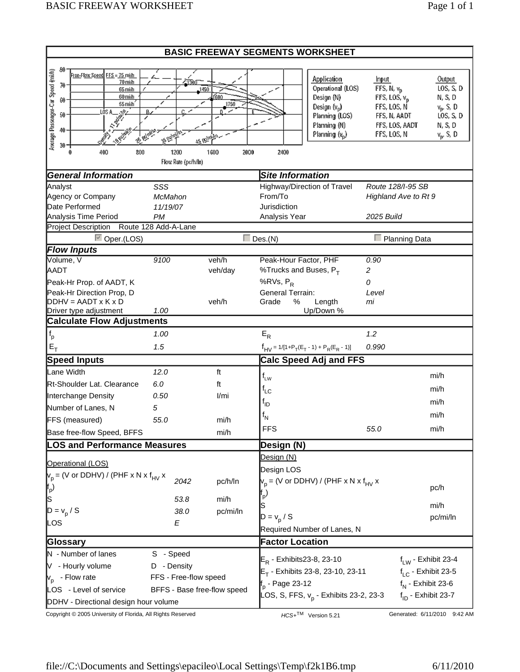| <b>BASIC FREEWAY SEGMENTS WORKSHEET</b>                                        |                                   |              |                               |                                                    |                                |                         |  |
|--------------------------------------------------------------------------------|-----------------------------------|--------------|-------------------------------|----------------------------------------------------|--------------------------------|-------------------------|--|
| 80                                                                             |                                   |              |                               |                                                    |                                |                         |  |
| Average Passenger-Car Speed (mi/h)<br>Free-Flow Speed FFS = 75 mith<br>70 mida | 47300                             |              |                               | Application                                        | Input                          | <b>Output</b>           |  |
| 70<br>65 mith                                                                  | 1450                              |              |                               | Operational (LOS)                                  | FFS, N, v <sub>D</sub>         | LOS, S, D               |  |
| 60 mith<br>60<br>55 mith                                                       |                                   | ſ600<br>1750 |                               | Design (N)                                         | FFS, LOS, $v_{\rm p}$          | N, S, D                 |  |
| 50                                                                             |                                   |              |                               | Design (v <sub>p</sub> )                           | FFS, LOS, N                    | $v_p$ , S, D            |  |
| uisa<br>  s <sup>igh</sup>                                                     |                                   |              |                               | Planning (LOS)<br>Planning (N)                     | FFS, N, AADT<br>FFS, LOS, AADT | LOS, S, D<br>N, S, D    |  |
| 40<br><b>BRUNK</b>                                                             |                                   |              |                               | Planning (v <sub>p</sub> )                         | FFS, LOS, N                    | $v_p$ , S, D            |  |
| $30 -$                                                                         |                                   | as reinan-   |                               |                                                    |                                |                         |  |
| 400<br>800                                                                     | 1200<br>Flow Rate (pc/h/ln)       | 1600<br>2000 | 2400                          |                                                    |                                |                         |  |
| <b>General Information</b>                                                     |                                   |              | <b>Site Information</b>       |                                                    |                                |                         |  |
| Analyst                                                                        | SSS                               |              |                               | Highway/Direction of Travel                        | Route 128/I-95 SB              |                         |  |
| Agency or Company                                                              | McMahon                           |              | From/To                       |                                                    | Highland Ave to Rt 9           |                         |  |
| Date Performed                                                                 | 11/19/07                          |              | Jurisdiction<br>Analysis Year |                                                    | 2025 Build                     |                         |  |
| Analysis Time Period<br><b>Project Description</b>                             | <b>PM</b><br>Route 128 Add-A-Lane |              |                               |                                                    |                                |                         |  |
| <b>▽</b> Oper.(LOS)                                                            |                                   |              | $\Box$ Des.(N)                |                                                    |                                | $\Box$ Planning Data    |  |
| <b>Flow Inputs</b>                                                             |                                   |              |                               |                                                    |                                |                         |  |
| Volume, V                                                                      | 9100                              | veh/h        | Peak-Hour Factor, PHF         |                                                    | 0.90                           |                         |  |
| <b>AADT</b>                                                                    |                                   | veh/day      | %Trucks and Buses, $P_T$      |                                                    | 2                              |                         |  |
| Peak-Hr Prop. of AADT, K                                                       |                                   |              | %RVs, P <sub>R</sub>          |                                                    | 0                              |                         |  |
| Peak-Hr Direction Prop, D                                                      |                                   |              | <b>General Terrain:</b>       |                                                    | Level                          |                         |  |
| $DDHV = AADT \times K \times D$                                                |                                   | veh/h        | Grade<br>%                    | Length                                             | mi                             |                         |  |
| Driver type adjustment<br><b>Calculate Flow Adjustments</b>                    | 1.00                              |              |                               | Up/Down %                                          |                                |                         |  |
|                                                                                |                                   |              |                               |                                                    |                                |                         |  |
| $\mathsf{f}_\mathsf{p}$                                                        | 1.00                              |              | $E_R$                         |                                                    | 1.2                            |                         |  |
| $E_T$                                                                          | 1.5                               |              |                               | $f_{HV} = 1/[1+P_T(E_T - 1) + P_R(E_R - 1)]$       | 0.990                          |                         |  |
| <b>Speed Inputs</b>                                                            |                                   |              |                               | <b>Calc Speed Adj and FFS</b>                      |                                |                         |  |
| Lane Width                                                                     | 12.0                              | ft           | $f_{LW}$                      |                                                    |                                | mi/h                    |  |
| Rt-Shoulder Lat. Clearance                                                     | 6.0                               | ft           | $f_{LC}$                      |                                                    |                                | mi/h                    |  |
| Interchange Density                                                            | 0.50                              | 1/mi         | <sup>t</sup> ıd               |                                                    |                                | mi/h                    |  |
| Number of Lanes, N                                                             | 5                                 |              |                               |                                                    |                                | mi/h                    |  |
| FFS (measured)                                                                 | 55.0                              | mi/h         | $f_{\mathsf{N}}$              |                                                    |                                |                         |  |
| Base free-flow Speed, BFFS                                                     |                                   | mi/h         | <b>FFS</b>                    |                                                    | 55.0                           | mi/h                    |  |
| <b>LOS and Performance Measures</b>                                            |                                   |              | Design (N)                    |                                                    |                                |                         |  |
| Operational (LOS)                                                              |                                   |              | Design (N)                    |                                                    |                                |                         |  |
| $V_p$ = (V or DDHV) / (PHF x N x f <sub>HV</sub> x                             |                                   |              | Design LOS                    |                                                    |                                |                         |  |
|                                                                                | 2042                              | pc/h/ln      |                               | $V_p$ = (V or DDHV) / (PHF x N x f <sub>HV</sub> x |                                |                         |  |
| ${\sf f}_{\sf p}$ )<br>ls                                                      |                                   |              | þ٠                            |                                                    |                                | pc/h                    |  |
|                                                                                | 53.8                              | mi/h         | S                             |                                                    |                                | mi/h                    |  |
| $D = v_p / S$                                                                  | 38.0                              | pc/mi/ln     | $D = v_p / S$                 |                                                    |                                | pc/mi/ln                |  |
| LOS                                                                            | E                                 |              |                               | Required Number of Lanes, N                        |                                |                         |  |
| <b>Factor Location</b><br>Glossary                                             |                                   |              |                               |                                                    |                                |                         |  |
| N - Number of lanes                                                            | S - Speed                         |              |                               |                                                    |                                |                         |  |
| V - Hourly volume                                                              | D - Density                       |              | $E_R$ - Exhibits 23-8, 23-10  |                                                    |                                | $f_{LW}$ - Exhibit 23-4 |  |
| v <sub>p</sub> - Flow rate                                                     | FFS - Free-flow speed             |              |                               | $E_T$ - Exhibits 23-8, 23-10, 23-11                |                                | $f_{LC}$ - Exhibit 23-5 |  |
| LOS - Level of service                                                         | BFFS - Base free-flow speed       |              | f <sub>p</sub> - Page 23-12   |                                                    |                                | $f_N$ - Exhibit 23-6    |  |
| DDHV - Directional design hour volume                                          |                                   |              |                               | LOS, S, FFS, v <sub>p</sub> - Exhibits 23-2, 23-3  |                                | $f_{ID}$ - Exhibit 23-7 |  |
|                                                                                |                                   |              |                               |                                                    |                                |                         |  |

Copyright © 2005 University of Florida, All Rights Reserved **HCS+TM** Version 5.21 Generated: 6/11/2010 9:42 AM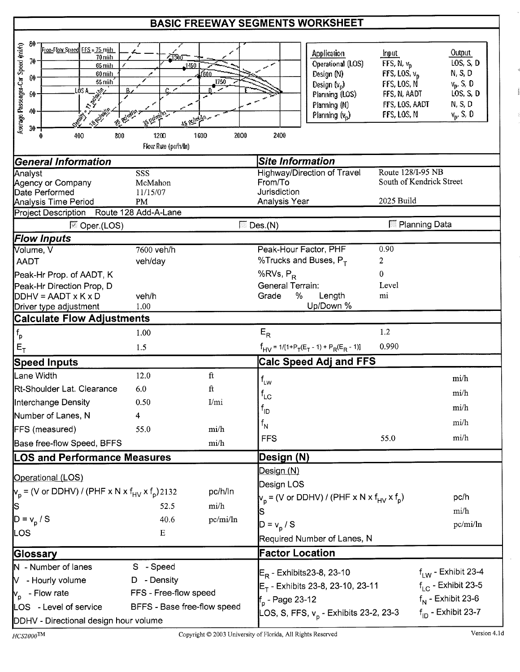| 80<br>Average Passenger-Car Speed (mi/h)<br>Free-Flow Speed FFS = 75 milt<br>70 mith<br>70<br>65 midu<br>60 midt<br>[3]<br>55 milh<br>LÒS A_<br><b>TANKER</b><br>50<br>40<br>30 - 1<br>800<br>400<br>$\mathbf 0$ | $\sqrt{1200}$<br>. 1450<br>مر<br>А.<br><b>CO REGISTS</b><br>15 Achien<br>1200 | f600<br>1750<br>1600<br>2000     | 2400                                                                                                          | Application<br>Operational (LOS)<br>Design (N)<br>Design $(v_p)$<br>Planning (LOS)<br>Planning (N)<br>Planning $(v_n)$ | Input<br>FFS, N, $v_{\rm B}$<br>FFS, LOS, $v_p$<br>FFS, LOS, N<br>FFS, N, AADT<br>FFS, LOS, AADT<br>FFS, LOS, N | <b>Output</b><br>LOS, S, D<br>N, S, D<br>$v_p$ , S, D<br>LOS, S, D<br>N, S, D<br>$v_p$ , S, D                |
|------------------------------------------------------------------------------------------------------------------------------------------------------------------------------------------------------------------|-------------------------------------------------------------------------------|----------------------------------|---------------------------------------------------------------------------------------------------------------|------------------------------------------------------------------------------------------------------------------------|-----------------------------------------------------------------------------------------------------------------|--------------------------------------------------------------------------------------------------------------|
|                                                                                                                                                                                                                  | Flow Rate (po/h/kn)                                                           |                                  |                                                                                                               |                                                                                                                        |                                                                                                                 |                                                                                                              |
| <b>General Information</b>                                                                                                                                                                                       |                                                                               |                                  | Site Information                                                                                              |                                                                                                                        |                                                                                                                 |                                                                                                              |
| Analyst<br>Agency or Company<br>Date Performed<br>Analysis Time Period                                                                                                                                           | SSS<br>McMahon<br>11/15/07<br>PM                                              |                                  | From/To<br>Jurisdiction<br>Analysis Year                                                                      | <b>Highway/Direction of Travel</b>                                                                                     | Route 128/I-95 NB<br>South of Kendrick Street<br>2025 Build                                                     |                                                                                                              |
| <b>Project Description</b>                                                                                                                                                                                       | Route 128 Add-A-Lane                                                          |                                  |                                                                                                               |                                                                                                                        |                                                                                                                 |                                                                                                              |
| <sup>ि</sup> Oper.(LOS)                                                                                                                                                                                          |                                                                               |                                  | $\overline{\mathbb{D}}$ Des.(N)                                                                               |                                                                                                                        | <sup>∭</sup> Planning Data                                                                                      |                                                                                                              |
| <b>Flow Inputs</b><br>Volume, V<br><b>AADT</b><br>Peak-Hr Prop. of AADT, K<br>Peak-Hr Direction Prop, D<br>$DDHV = AADT \times K \times D$                                                                       | 7600 veh/h<br>veh/day<br>veh/h<br>1.00                                        |                                  | Peak-Hour Factor, PHF<br>%Trucks and Buses, $P_T$<br>% $RVs, P_R$<br><b>General Terrain:</b><br>$\%$<br>Grade | Length<br>Up/Down %                                                                                                    | 0.90<br>$\overline{c}$<br>0<br>Level<br>mi                                                                      |                                                                                                              |
| Driver type adjustment<br><b>Calculate Flow Adjustments</b>                                                                                                                                                      |                                                                               |                                  |                                                                                                               |                                                                                                                        |                                                                                                                 |                                                                                                              |
|                                                                                                                                                                                                                  | 1.00                                                                          |                                  | $E_R$                                                                                                         |                                                                                                                        | 1.2                                                                                                             |                                                                                                              |
| $f_{\rm p}$                                                                                                                                                                                                      |                                                                               |                                  |                                                                                                               |                                                                                                                        | 0.990                                                                                                           |                                                                                                              |
| $E_T$                                                                                                                                                                                                            | 1.5                                                                           |                                  |                                                                                                               | $f_{HV}$ = 1/[1+P <sub>T</sub> (E <sub>T</sub> - 1) + P <sub>R</sub> (E <sub>R</sub> - 1)]                             |                                                                                                                 |                                                                                                              |
| <b>Speed Inputs</b>                                                                                                                                                                                              |                                                                               |                                  |                                                                                                               | <b>Calc Speed Adj and FFS</b>                                                                                          |                                                                                                                 |                                                                                                              |
| Lane Width<br>Rt-Shoulder Lat. Clearance<br>Interchange Density                                                                                                                                                  | 12.0<br>6.0<br>0.50                                                           | $_{\rm ft}$<br>$\rm{ft}$<br>I/mi | $f_{LW}$<br>$f_{LC}$                                                                                          |                                                                                                                        |                                                                                                                 | mi/h<br>mi/h                                                                                                 |
| Number of Lanes, N                                                                                                                                                                                               | 4                                                                             |                                  | $f_{ID}$                                                                                                      |                                                                                                                        |                                                                                                                 | mi/h                                                                                                         |
| FFS (measured)                                                                                                                                                                                                   | 55.0                                                                          | mi/h                             | $f_{N}$                                                                                                       |                                                                                                                        |                                                                                                                 | mi/h                                                                                                         |
| Base free-flow Speed, BFFS                                                                                                                                                                                       |                                                                               | mi/h                             | <b>FFS</b>                                                                                                    |                                                                                                                        | 55.0                                                                                                            | mi/h                                                                                                         |
| <b>LOS and Performance Measures</b>                                                                                                                                                                              |                                                                               |                                  | Design (N)                                                                                                    |                                                                                                                        |                                                                                                                 |                                                                                                              |
| Operational (LOS)<br>$V_p$ = (V or DDHV) / (PHF x N x f <sub>HV</sub> x f <sub>p</sub> )2132<br>β<br>$D = v_p / S$                                                                                               | 52.5<br>40.6                                                                  | pc/h/ln<br>mi/h<br>pc/mi/ln      | Design (N)<br>Design LOS<br>$D = v_{p} / S$                                                                   | $v_p$ = (V or DDHV) / (PHF x N x $f_{HV}$ x $f_p$ )                                                                    |                                                                                                                 | pc/h<br>mi/h<br>pc/mi/ln                                                                                     |
| LOS                                                                                                                                                                                                              | Ε                                                                             |                                  |                                                                                                               | Required Number of Lanes, N                                                                                            |                                                                                                                 |                                                                                                              |
| Glossary                                                                                                                                                                                                         |                                                                               |                                  | <b>Factor Location</b>                                                                                        |                                                                                                                        |                                                                                                                 |                                                                                                              |
| N - Number of lanes                                                                                                                                                                                              | S - Speed                                                                     |                                  |                                                                                                               |                                                                                                                        |                                                                                                                 |                                                                                                              |
| $V$ - Hourly volume<br>$v_{\rm p}$ - Flow rate<br>LOS - Level of service<br>DDHV - Directional design hour volume                                                                                                | D - Density<br>FFS - Free-flow speed<br>BFFS - Base free-flow speed           |                                  | $E_R$ - Exhibits 23-8, 23-10<br>$f_{\rm p}$ - Page 23-12                                                      | $E_T$ - Exhibits 23-8, 23-10, 23-11<br>LOS, S, FFS, v <sub>p</sub> - Exhibits 23-2, 23-3                               |                                                                                                                 | $f_{\text{IW}}$ - Exhibit 23-4<br>$f_{LC}$ - Exhibit 23-5<br>$f_N$ - Exhibit 23-6<br>$f_{ID}$ - Exhibit 23-7 |